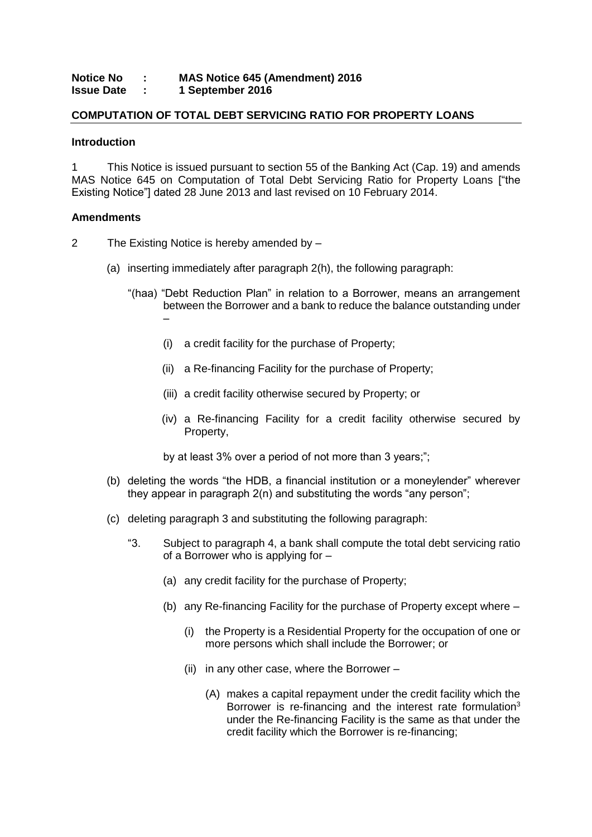#### **Notice No : MAS Notice 645 (Amendment) 2016 Issue Date : 1 September 2016**

# **COMPUTATION OF TOTAL DEBT SERVICING RATIO FOR PROPERTY LOANS**

### **Introduction**

1 This Notice is issued pursuant to section 55 of the Banking Act (Cap. 19) and amends MAS Notice 645 on Computation of Total Debt Servicing Ratio for Property Loans ["the Existing Notice"] dated 28 June 2013 and last revised on 10 February 2014.

## **Amendments**

- 2 The Existing Notice is hereby amended by
	- (a) inserting immediately after paragraph 2(h), the following paragraph:
		- "(haa) "Debt Reduction Plan" in relation to a Borrower, means an arrangement between the Borrower and a bank to reduce the balance outstanding under –
			- (i) a credit facility for the purchase of Property;
			- (ii) a Re-financing Facility for the purchase of Property;
			- (iii) a credit facility otherwise secured by Property; or
			- (iv) a Re-financing Facility for a credit facility otherwise secured by Property,

by at least 3% over a period of not more than 3 years;";

- (b) deleting the words "the HDB, a financial institution or a moneylender" wherever they appear in paragraph 2(n) and substituting the words "any person";
- (c) deleting paragraph 3 and substituting the following paragraph:
	- "3. Subject to paragraph 4, a bank shall compute the total debt servicing ratio of a Borrower who is applying for –
		- (a) any credit facility for the purchase of Property;
		- (b) any Re-financing Facility for the purchase of Property except where
			- (i) the Property is a Residential Property for the occupation of one or more persons which shall include the Borrower; or
			- (ii) in any other case, where the Borrower
				- (A) makes a capital repayment under the credit facility which the Borrower is re-financing and the interest rate formulation<sup>3</sup> under the Re-financing Facility is the same as that under the credit facility which the Borrower is re-financing;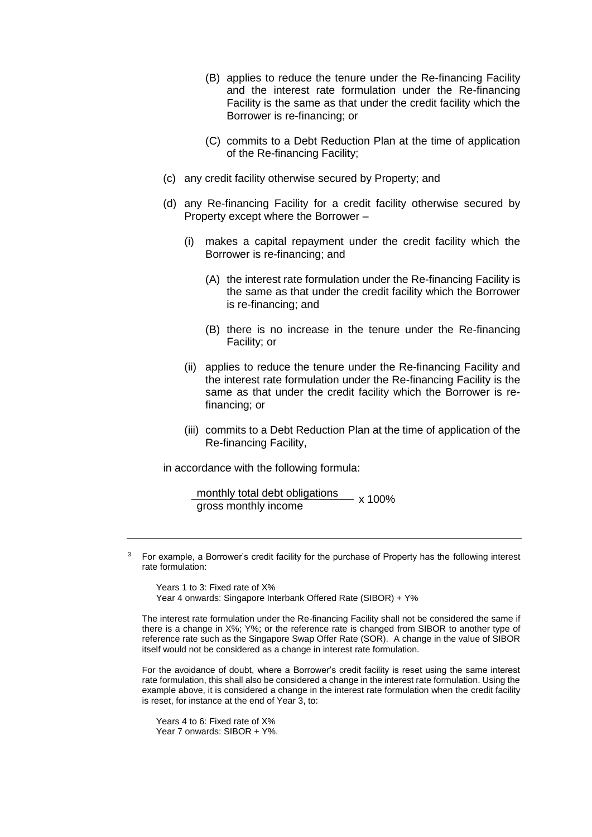- (B) applies to reduce the tenure under the Re-financing Facility and the interest rate formulation under the Re-financing Facility is the same as that under the credit facility which the Borrower is re-financing; or
- (C) commits to a Debt Reduction Plan at the time of application of the Re-financing Facility;
- (c) any credit facility otherwise secured by Property; and
- (d) any Re-financing Facility for a credit facility otherwise secured by Property except where the Borrower –
	- (i) makes a capital repayment under the credit facility which the Borrower is re-financing; and
		- (A) the interest rate formulation under the Re-financing Facility is the same as that under the credit facility which the Borrower is re-financing; and
		- (B) there is no increase in the tenure under the Re-financing Facility; or
	- (ii) applies to reduce the tenure under the Re-financing Facility and the interest rate formulation under the Re-financing Facility is the same as that under the credit facility which the Borrower is refinancing; or
	- (iii) commits to a Debt Reduction Plan at the time of application of the Re-financing Facility,

in accordance with the following formula:

monthly total debt obligations<br>gross monthly income<br>x 100%

Years 1 to 3: Fixed rate of X% Year 4 onwards: Singapore Interbank Offered Rate (SIBOR) + Y%

The interest rate formulation under the Re-financing Facility shall not be considered the same if there is a change in X%; Y%; or the reference rate is changed from SIBOR to another type of reference rate such as the Singapore Swap Offer Rate (SOR). A change in the value of SIBOR itself would not be considered as a change in interest rate formulation.

For the avoidance of doubt, where a Borrower's credit facility is reset using the same interest rate formulation, this shall also be considered a change in the interest rate formulation. Using the example above, it is considered a change in the interest rate formulation when the credit facility is reset, for instance at the end of Year 3, to:

Years 4 to 6: Fixed rate of X% Year 7 onwards: SIBOR + Y%.

<sup>3</sup> For example, a Borrower's credit facility for the purchase of Property has the following interest rate formulation: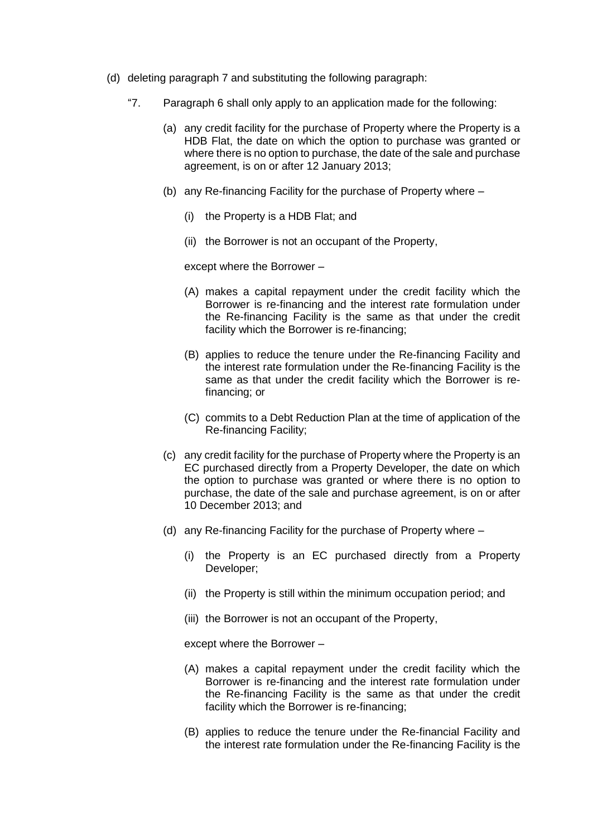- (d) deleting paragraph 7 and substituting the following paragraph:
	- "7. Paragraph 6 shall only apply to an application made for the following:
		- (a) any credit facility for the purchase of Property where the Property is a HDB Flat, the date on which the option to purchase was granted or where there is no option to purchase, the date of the sale and purchase agreement, is on or after 12 January 2013;
		- (b) any Re-financing Facility for the purchase of Property where
			- (i) the Property is a HDB Flat; and
			- (ii) the Borrower is not an occupant of the Property,

except where the Borrower –

- (A) makes a capital repayment under the credit facility which the Borrower is re-financing and the interest rate formulation under the Re-financing Facility is the same as that under the credit facility which the Borrower is re-financing;
- (B) applies to reduce the tenure under the Re-financing Facility and the interest rate formulation under the Re-financing Facility is the same as that under the credit facility which the Borrower is refinancing; or
- (C) commits to a Debt Reduction Plan at the time of application of the Re-financing Facility;
- (c) any credit facility for the purchase of Property where the Property is an EC purchased directly from a Property Developer, the date on which the option to purchase was granted or where there is no option to purchase, the date of the sale and purchase agreement, is on or after 10 December 2013; and
- (d) any Re-financing Facility for the purchase of Property where
	- (i) the Property is an EC purchased directly from a Property Developer;
	- (ii) the Property is still within the minimum occupation period; and
	- (iii) the Borrower is not an occupant of the Property,

except where the Borrower –

- (A) makes a capital repayment under the credit facility which the Borrower is re-financing and the interest rate formulation under the Re-financing Facility is the same as that under the credit facility which the Borrower is re-financing;
- (B) applies to reduce the tenure under the Re-financial Facility and the interest rate formulation under the Re-financing Facility is the